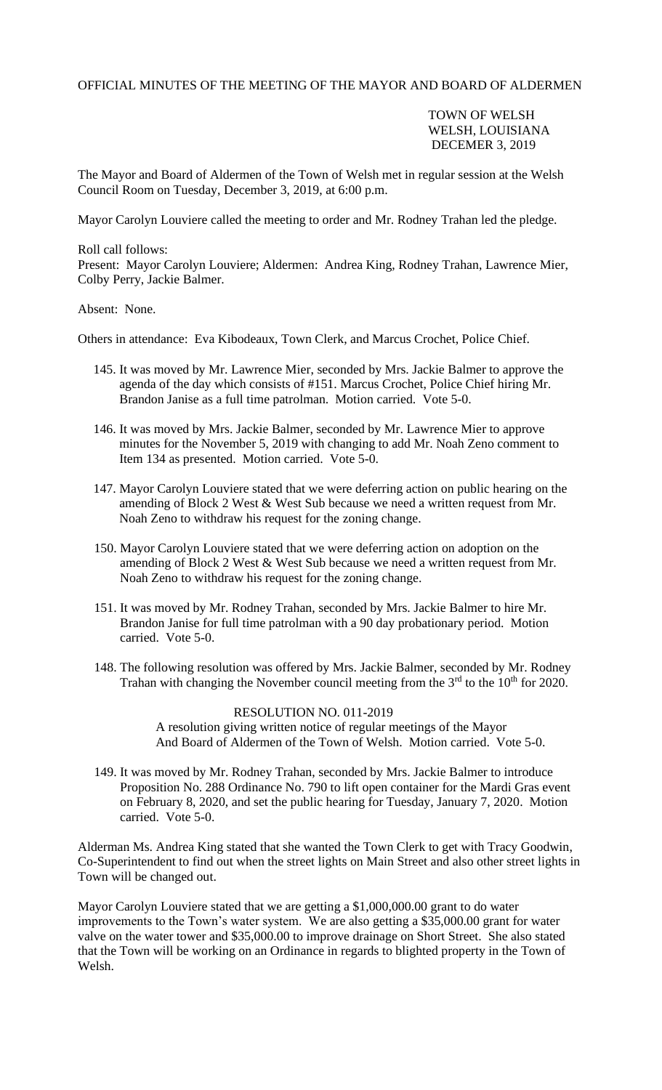## OFFICIAL MINUTES OF THE MEETING OF THE MAYOR AND BOARD OF ALDERMEN

## TOWN OF WELSH WELSH, LOUISIANA DECEMER 3, 2019

The Mayor and Board of Aldermen of the Town of Welsh met in regular session at the Welsh Council Room on Tuesday, December 3, 2019, at 6:00 p.m.

Mayor Carolyn Louviere called the meeting to order and Mr. Rodney Trahan led the pledge.

Roll call follows: Present: Mayor Carolyn Louviere; Aldermen: Andrea King, Rodney Trahan, Lawrence Mier, Colby Perry, Jackie Balmer.

Absent: None.

Others in attendance: Eva Kibodeaux, Town Clerk, and Marcus Crochet, Police Chief.

- 145. It was moved by Mr. Lawrence Mier, seconded by Mrs. Jackie Balmer to approve the agenda of the day which consists of #151. Marcus Crochet, Police Chief hiring Mr. Brandon Janise as a full time patrolman. Motion carried. Vote 5-0.
- 146. It was moved by Mrs. Jackie Balmer, seconded by Mr. Lawrence Mier to approve minutes for the November 5, 2019 with changing to add Mr. Noah Zeno comment to Item 134 as presented. Motion carried. Vote 5-0.
- 147. Mayor Carolyn Louviere stated that we were deferring action on public hearing on the amending of Block 2 West & West Sub because we need a written request from Mr. Noah Zeno to withdraw his request for the zoning change.
- 150. Mayor Carolyn Louviere stated that we were deferring action on adoption on the amending of Block 2 West & West Sub because we need a written request from Mr. Noah Zeno to withdraw his request for the zoning change.
- 151. It was moved by Mr. Rodney Trahan, seconded by Mrs. Jackie Balmer to hire Mr. Brandon Janise for full time patrolman with a 90 day probationary period. Motion carried. Vote 5-0.
- 148. The following resolution was offered by Mrs. Jackie Balmer, seconded by Mr. Rodney Trahan with changing the November council meeting from the  $3<sup>rd</sup>$  to the 10<sup>th</sup> for 2020.

RESOLUTION NO. 011-2019 A resolution giving written notice of regular meetings of the Mayor And Board of Aldermen of the Town of Welsh. Motion carried. Vote 5-0.

 149. It was moved by Mr. Rodney Trahan, seconded by Mrs. Jackie Balmer to introduce Proposition No. 288 Ordinance No. 790 to lift open container for the Mardi Gras event on February 8, 2020, and set the public hearing for Tuesday, January 7, 2020. Motion carried. Vote 5-0.

Alderman Ms. Andrea King stated that she wanted the Town Clerk to get with Tracy Goodwin, Co-Superintendent to find out when the street lights on Main Street and also other street lights in Town will be changed out.

Mayor Carolyn Louviere stated that we are getting a \$1,000,000.00 grant to do water improvements to the Town's water system. We are also getting a \$35,000.00 grant for water valve on the water tower and \$35,000.00 to improve drainage on Short Street. She also stated that the Town will be working on an Ordinance in regards to blighted property in the Town of Welsh.